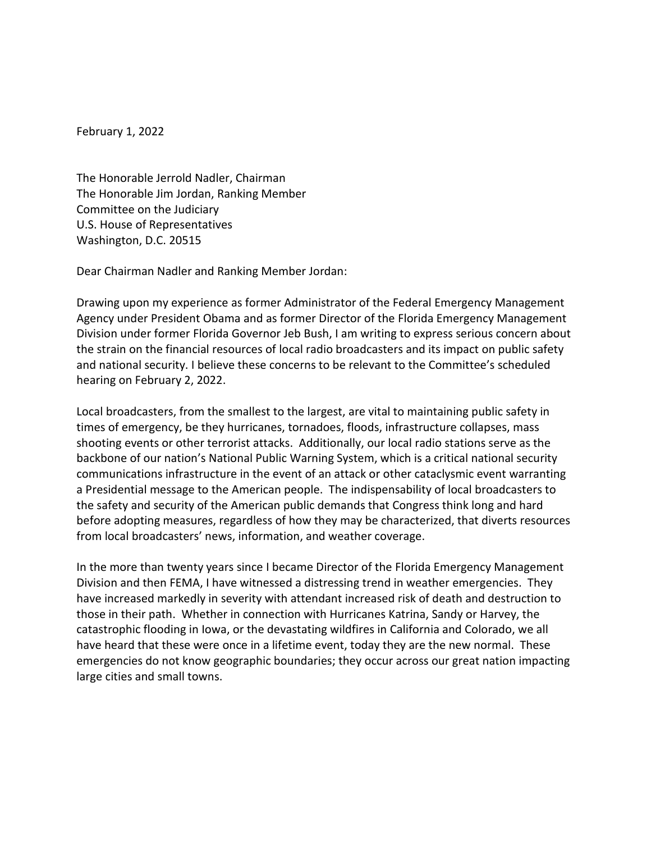February 1, 2022

The Honorable Jerrold Nadler, Chairman The Honorable Jim Jordan, Ranking Member Committee on the Judiciary U.S. House of Representatives Washington, D.C. 20515

Dear Chairman Nadler and Ranking Member Jordan:

Drawing upon my experience as former Administrator of the Federal Emergency Management Agency under President Obama and as former Director of the Florida Emergency Management Division under former Florida Governor Jeb Bush, I am writing to express serious concern about the strain on the financial resources of local radio broadcasters and its impact on public safety and national security. I believe these concerns to be relevant to the Committee's scheduled hearing on February 2, 2022.

Local broadcasters, from the smallest to the largest, are vital to maintaining public safety in times of emergency, be they hurricanes, tornadoes, floods, infrastructure collapses, mass shooting events or other terrorist attacks. Additionally, our local radio stations serve as the backbone of our nation's National Public Warning System, which is a critical national security communications infrastructure in the event of an attack or other cataclysmic event warranting a Presidential message to the American people. The indispensability of local broadcasters to the safety and security of the American public demands that Congress think long and hard before adopting measures, regardless of how they may be characterized, that diverts resources from local broadcasters' news, information, and weather coverage.

In the more than twenty years since I became Director of the Florida Emergency Management Division and then FEMA, I have witnessed a distressing trend in weather emergencies. They have increased markedly in severity with attendant increased risk of death and destruction to those in their path. Whether in connection with Hurricanes Katrina, Sandy or Harvey, the catastrophic flooding in Iowa, or the devastating wildfires in California and Colorado, we all have heard that these were once in a lifetime event, today they are the new normal. These emergencies do not know geographic boundaries; they occur across our great nation impacting large cities and small towns.